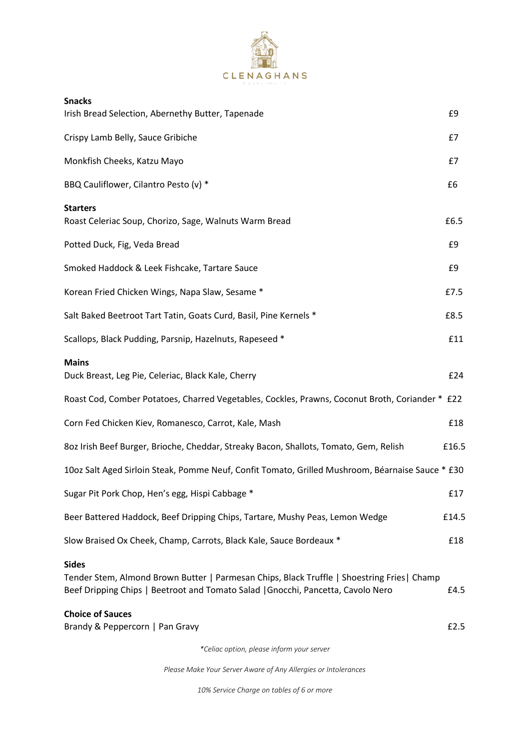

| <b>Snacks</b>                                                                                                                                                                                   |       |
|-------------------------------------------------------------------------------------------------------------------------------------------------------------------------------------------------|-------|
| Irish Bread Selection, Abernethy Butter, Tapenade                                                                                                                                               | £9    |
| Crispy Lamb Belly, Sauce Gribiche                                                                                                                                                               | £7    |
| Monkfish Cheeks, Katzu Mayo                                                                                                                                                                     | £7    |
| BBQ Cauliflower, Cilantro Pesto (v) *                                                                                                                                                           | £6    |
| <b>Starters</b><br>Roast Celeriac Soup, Chorizo, Sage, Walnuts Warm Bread                                                                                                                       | £6.5  |
| Potted Duck, Fig, Veda Bread                                                                                                                                                                    | £9    |
| Smoked Haddock & Leek Fishcake, Tartare Sauce                                                                                                                                                   | £9    |
| Korean Fried Chicken Wings, Napa Slaw, Sesame *                                                                                                                                                 | £7.5  |
| Salt Baked Beetroot Tart Tatin, Goats Curd, Basil, Pine Kernels *                                                                                                                               | £8.5  |
| Scallops, Black Pudding, Parsnip, Hazelnuts, Rapeseed *                                                                                                                                         | £11   |
| <b>Mains</b><br>Duck Breast, Leg Pie, Celeriac, Black Kale, Cherry                                                                                                                              | £24   |
| Roast Cod, Comber Potatoes, Charred Vegetables, Cockles, Prawns, Coconut Broth, Coriander * £22                                                                                                 |       |
| Corn Fed Chicken Kiev, Romanesco, Carrot, Kale, Mash                                                                                                                                            | £18   |
| 8oz Irish Beef Burger, Brioche, Cheddar, Streaky Bacon, Shallots, Tomato, Gem, Relish                                                                                                           | £16.5 |
| 10oz Salt Aged Sirloin Steak, Pomme Neuf, Confit Tomato, Grilled Mushroom, Béarnaise Sauce * £30                                                                                                |       |
| Sugar Pit Pork Chop, Hen's egg, Hispi Cabbage *                                                                                                                                                 | £17   |
| Beer Battered Haddock, Beef Dripping Chips, Tartare, Mushy Peas, Lemon Wedge                                                                                                                    | £14.5 |
| Slow Braised Ox Cheek, Champ, Carrots, Black Kale, Sauce Bordeaux *                                                                                                                             | £18   |
| <b>Sides</b><br>Tender Stem, Almond Brown Butter   Parmesan Chips, Black Truffle   Shoestring Fries   Champ<br>Beef Dripping Chips   Beetroot and Tomato Salad   Gnocchi, Pancetta, Cavolo Nero | £4.5  |
| <b>Choice of Sauces</b><br>Brandy & Peppercorn   Pan Gravy                                                                                                                                      | £2.5  |
| *Celiac option, please inform your server                                                                                                                                                       |       |

*Please Make Your Server Aware of Any Allergies or Intolerances*

*10% Service Charge on tables of 6 or more*